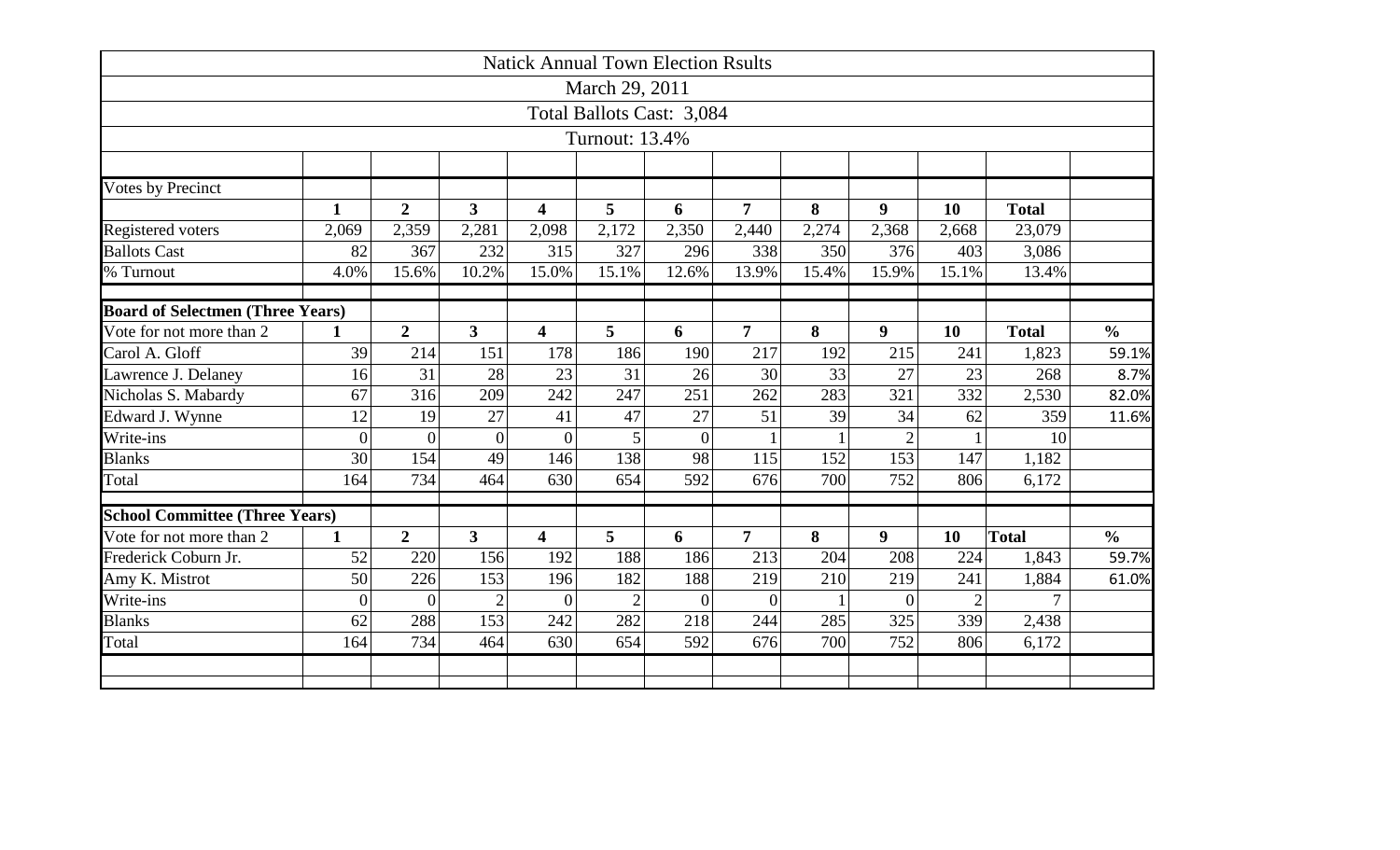|                                         |                |                |                         |                         | <b>Natick Annual Town Election Rsults</b> |                |                |       |                  |                |              |               |
|-----------------------------------------|----------------|----------------|-------------------------|-------------------------|-------------------------------------------|----------------|----------------|-------|------------------|----------------|--------------|---------------|
|                                         |                |                |                         |                         | March 29, 2011                            |                |                |       |                  |                |              |               |
|                                         |                |                |                         |                         | Total Ballots Cast: 3,084                 |                |                |       |                  |                |              |               |
|                                         |                |                |                         |                         | Turnout: 13.4%                            |                |                |       |                  |                |              |               |
|                                         |                |                |                         |                         |                                           |                |                |       |                  |                |              |               |
| Votes by Precinct                       |                |                |                         |                         |                                           |                |                |       |                  |                |              |               |
|                                         | $\mathbf{1}$   | $\overline{2}$ | $\overline{\mathbf{3}}$ | 4                       | 5                                         | 6              | $\overline{7}$ | 8     | 9                | 10             | <b>Total</b> |               |
| Registered voters                       | 2,069          | 2,359          | 2,281                   | 2,098                   | 2,172                                     | 2,350          | 2,440          | 2,274 | 2,368            | 2,668          | 23,079       |               |
| <b>Ballots Cast</b>                     | 82             | 367            | 232                     | 315                     | 327                                       | 296            | 338            | 350   | 376              | 403            | 3,086        |               |
| % Turnout                               | 4.0%           | 15.6%          | 10.2%                   | 15.0%                   | 15.1%                                     | 12.6%          | 13.9%          | 15.4% | 15.9%            | 15.1%          | 13.4%        |               |
|                                         |                |                |                         |                         |                                           |                |                |       |                  |                |              |               |
| <b>Board of Selectmen (Three Years)</b> |                |                |                         |                         |                                           |                |                |       |                  |                |              |               |
| Vote for not more than 2                | $\mathbf{1}$   | $\overline{2}$ | $\overline{3}$          | $\overline{\mathbf{4}}$ | 5                                         | 6              | $\overline{7}$ | 8     | $\boldsymbol{9}$ | 10             | <b>Total</b> | $\frac{0}{0}$ |
| Carol A. Gloff                          | 39             | 214            | 151                     | 178                     | 186                                       | 190            | 217            | 192   | 215              | 241            | 1,823        | 59.1%         |
| Lawrence J. Delaney                     | 16             | 31             | 28                      | 23                      | 31                                        | 26             | 30             | 33    | 27               | 23             | 268          | 8.7%          |
| Nicholas S. Mabardy                     | 67             | 316            | 209                     | 242                     | 247                                       | 251            | 262            | 283   | 321              | 332            | 2,530        | 82.0%         |
| Edward J. Wynne                         | 12             | 19             | 27                      | 41                      | 47                                        | 27             | 51             | 39    | 34               | 62             | 359          | 11.6%         |
| Write-ins                               | $\overline{0}$ | $\theta$       | $\overline{0}$          | $\theta$                | 5                                         | $\overline{0}$ |                |       |                  |                | 10           |               |
| <b>Blanks</b>                           | 30             | 154            | 49                      | 146                     | 138                                       | 98             | 115            | 152   | 153              | 147            | 1,182        |               |
| Total                                   | 164            | 734            | 464                     | 630                     | 654                                       | 592            | 676            | 700   | 752              | 806            | 6,172        |               |
|                                         |                |                |                         |                         |                                           |                |                |       |                  |                |              |               |
| <b>School Committee (Three Years)</b>   |                |                |                         |                         |                                           |                |                |       |                  |                |              |               |
| Vote for not more than 2                | $\mathbf{1}$   | $\overline{2}$ | $\overline{3}$          | $\overline{\mathbf{4}}$ | 5                                         | 6              | $\overline{7}$ | 8     | $\boldsymbol{9}$ | 10             | <b>Total</b> | $\frac{0}{0}$ |
| Frederick Coburn Jr.                    | 52             | 220            | 156                     | 192                     | 188                                       | 186            | 213            | 204   | 208              | 224            | 1,843        | 59.7%         |
| Amy K. Mistrot                          | 50             | 226            | 153                     | 196                     | 182                                       | 188            | 219            | 210   | 219              | 241            | 1,884        | 61.0%         |
| Write-ins                               | $\overline{0}$ | $\overline{0}$ | $\overline{2}$          | $\theta$                | $\overline{2}$                            | $\Omega$       | $\overline{0}$ |       | $\theta$         | $\overline{2}$ | 7            |               |
| <b>Blanks</b>                           | 62             | 288            | 153                     | 242                     | 282                                       | 218            | 244            | 285   | 325              | 339            | 2,438        |               |
| Total                                   | 164            | 734            | 464                     | 630                     | 654                                       | 592            | 676            | 700   | 752              | 806            | 6,172        |               |
|                                         |                |                |                         |                         |                                           |                |                |       |                  |                |              |               |
|                                         |                |                |                         |                         |                                           |                |                |       |                  |                |              |               |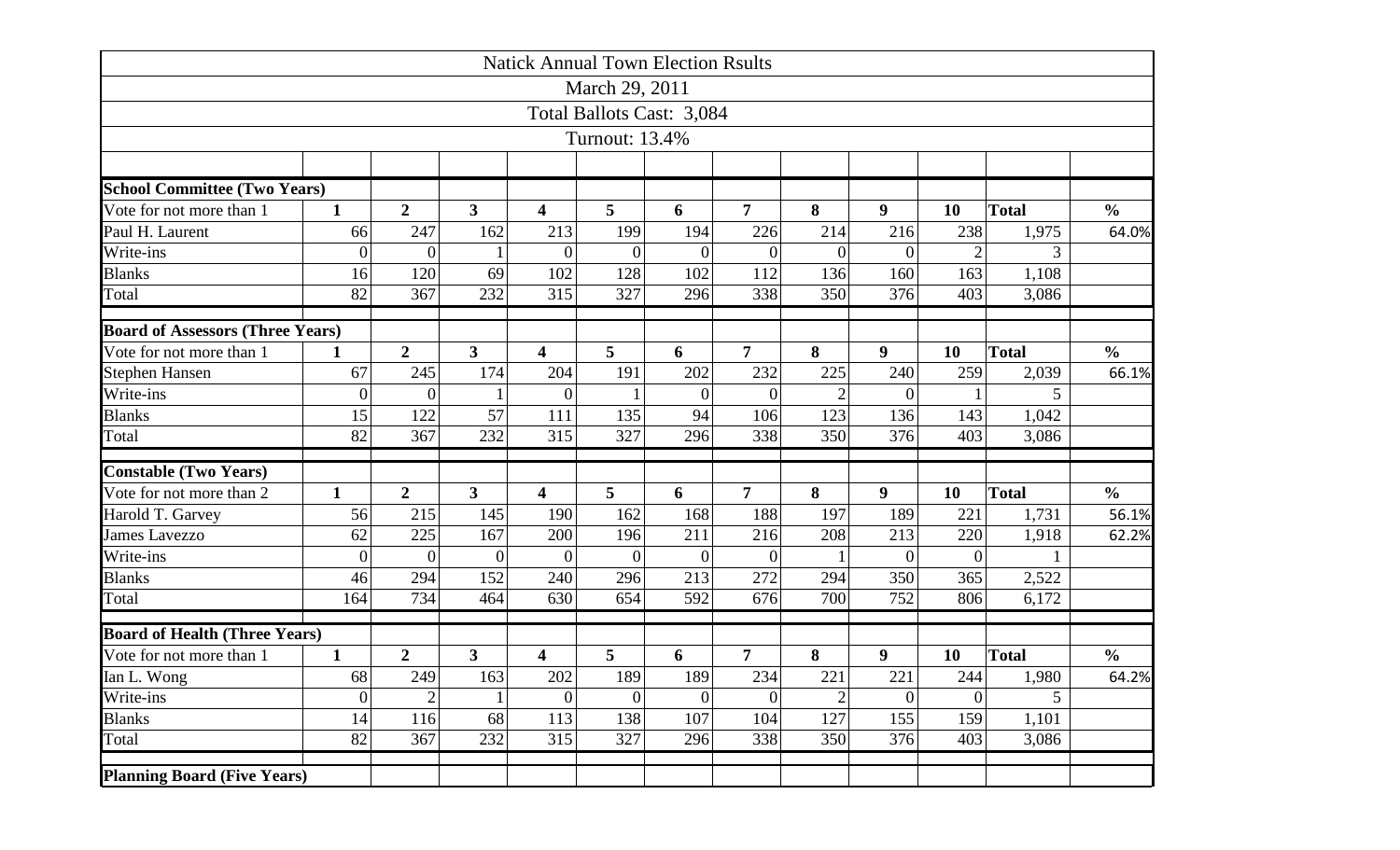|                                         |                  |                  |                | <b>Natick Annual Town Election Rsults</b> |                |                           |                |                |                |                  |              |               |
|-----------------------------------------|------------------|------------------|----------------|-------------------------------------------|----------------|---------------------------|----------------|----------------|----------------|------------------|--------------|---------------|
|                                         |                  |                  |                |                                           | March 29, 2011 |                           |                |                |                |                  |              |               |
|                                         |                  |                  |                |                                           |                | Total Ballots Cast: 3,084 |                |                |                |                  |              |               |
|                                         |                  |                  |                |                                           | Turnout: 13.4% |                           |                |                |                |                  |              |               |
|                                         |                  |                  |                |                                           |                |                           |                |                |                |                  |              |               |
| <b>School Committee (Two Years)</b>     |                  |                  |                |                                           |                |                           |                |                |                |                  |              |               |
| Vote for not more than 1                | $\mathbf{1}$     | $\overline{2}$   | 3              | $\overline{\mathbf{4}}$                   | 5              | 6                         | $\overline{7}$ | 8              | 9              | 10               | <b>Total</b> | $\frac{0}{0}$ |
| Paul H. Laurent                         | 66               | 247              | 162            | 213                                       | 199            | 194                       | 226            | 214            | 216            | 238              | 1,975        | 64.0%         |
| Write-ins                               | $\boldsymbol{0}$ | $\theta$         |                | $\overline{0}$                            | $\theta$       | $\Omega$                  | $\theta$       | $\theta$       | $\theta$       | $\overline{2}$   | 3            |               |
| <b>Blanks</b>                           | 16               | 120              | 69             | 102                                       | 128            | 102                       | 112            | 136            | 160            | 163              | 1,108        |               |
| Total                                   | 82               | 367              | 232            | 315                                       | 327            | 296                       | 338            | 350            | 376            | 403              | 3,086        |               |
| <b>Board of Assessors (Three Years)</b> |                  |                  |                |                                           |                |                           |                |                |                |                  |              |               |
| Vote for not more than 1                | $\mathbf 1$      | $\overline{2}$   | 3              | 4                                         | 5              | 6                         | $\overline{7}$ | 8              | 9              | 10               | <b>Total</b> | $\frac{0}{0}$ |
| <b>Stephen Hansen</b>                   | 67               | 245              | 174            | 204                                       | 191            | 202                       | 232            | 225            | 240            | 259              | 2,039        | 66.1%         |
| Write-ins                               | $\overline{0}$   | $\overline{0}$   |                | $\theta$                                  |                | $\Omega$                  | 0              | $\overline{2}$ | $\theta$       |                  |              |               |
| <b>Blanks</b>                           | 15               | 122              | 57             | 111                                       | 135            | 94                        | 106            | 123            | 136            | 143              | 1,042        |               |
| Total                                   | 82               | 367              | 232            | 315                                       | 327            | 296                       | 338            | 350            | 376            | 403              | 3,086        |               |
| <b>Constable (Two Years)</b>            |                  |                  |                |                                           |                |                           |                |                |                |                  |              |               |
| Vote for not more than 2                | $\mathbf{1}$     | $\overline{2}$   | 3              | 4                                         | 5              | 6                         | $\overline{7}$ | 8              | 9              | 10               | <b>Total</b> | $\frac{0}{0}$ |
| Harold T. Garvey                        | 56               | 215              | 145            | 190                                       | 162            | 168                       | 188            | 197            | 189            | 221              | 1,731        | 56.1%         |
| <b>James Lavezzo</b>                    | 62               | 225              | 167            | 200                                       | 196            | 211                       | 216            | 208            | 213            | 220              | 1,918        | 62.2%         |
| Write-ins                               | $\boldsymbol{0}$ | $\overline{0}$   | $\overline{0}$ | $\overline{0}$                            | $\overline{0}$ | $\overline{0}$            | $\overline{0}$ |                | $\overline{0}$ | $\boldsymbol{0}$ |              |               |
| <b>Blanks</b>                           | 46               | 294              | 152            | 240                                       | 296            | 213                       | 272            | 294            | 350            | 365              | 2,522        |               |
| Total                                   | 164              | 734              | 464            | 630                                       | 654            | 592                       | 676            | 700            | 752            | 806              | 6,172        |               |
| <b>Board of Health (Three Years)</b>    |                  |                  |                |                                           |                |                           |                |                |                |                  |              |               |
| Vote for not more than 1                | $\mathbf{1}$     | $\boldsymbol{2}$ | 3              | 4                                         | 5              | 6                         | $\overline{7}$ | 8              | 9              | 10               | <b>Total</b> | $\frac{0}{0}$ |
| Ian L. Wong                             | 68               | 249              | 163            | 202                                       | 189            | 189                       | 234            | 221            | 221            | 244              | 1,980        | 64.2%         |
| Write-ins                               | $\boldsymbol{0}$ | $\overline{2}$   |                | $\overline{0}$                            | $\overline{0}$ | $\Omega$                  | $\overline{0}$ | $\overline{2}$ | $\overline{0}$ | $\overline{0}$   | 5            |               |
| <b>Blanks</b>                           | 14               | 116              | 68             | 113                                       | 138            | 107                       | 104            | 127            | 155            | 159              | 1,101        |               |
| Total                                   | 82               | 367              | 232            | 315                                       | 327            | 296                       | 338            | 350            | 376            | 403              | 3,086        |               |
| <b>Planning Board (Five Years)</b>      |                  |                  |                |                                           |                |                           |                |                |                |                  |              |               |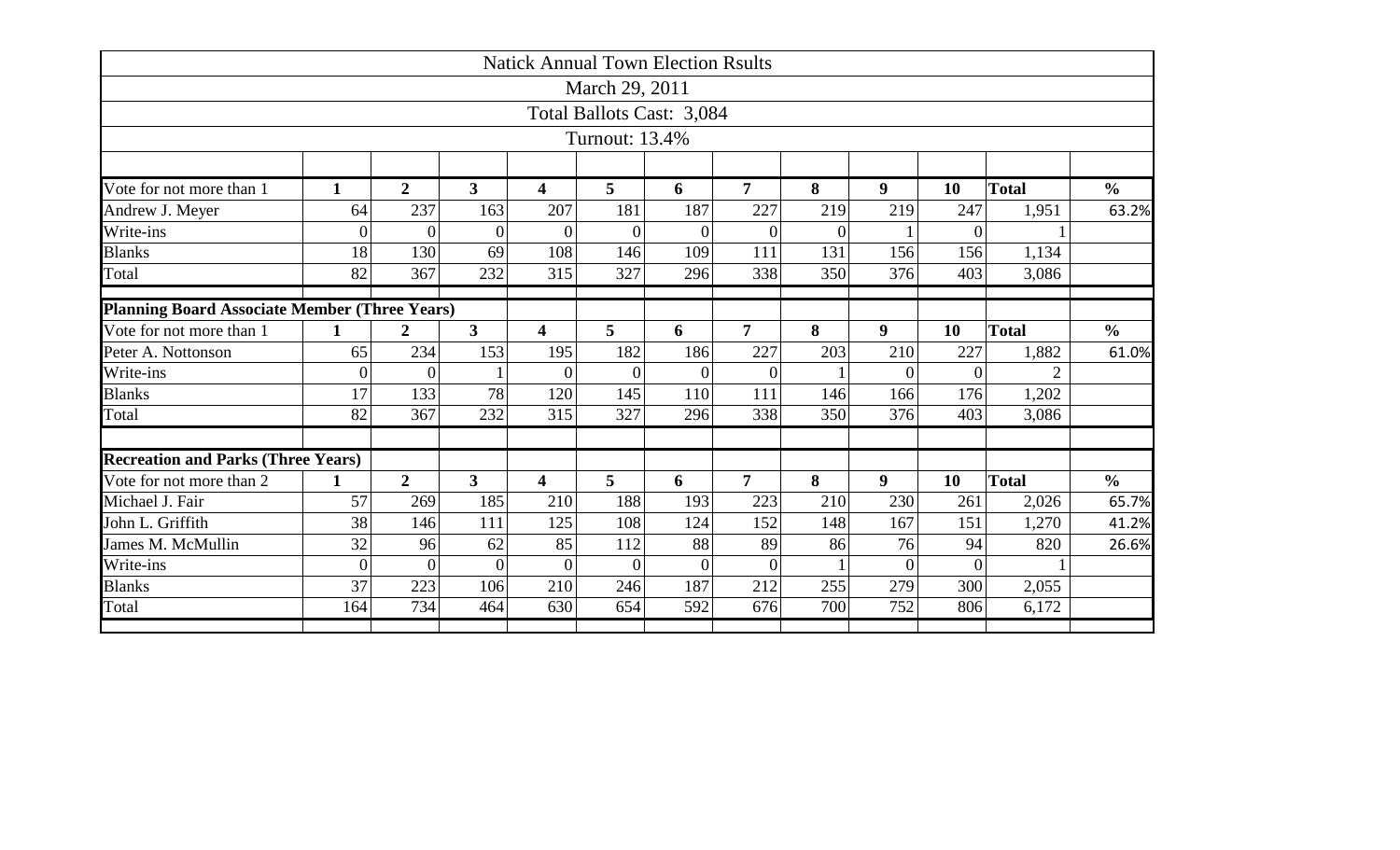|                                               |                |                |                         |                |                | <b>Natick Annual Town Election Rsults</b> |                |          |                  |                    |              |               |
|-----------------------------------------------|----------------|----------------|-------------------------|----------------|----------------|-------------------------------------------|----------------|----------|------------------|--------------------|--------------|---------------|
|                                               |                |                |                         |                | March 29, 2011 |                                           |                |          |                  |                    |              |               |
|                                               |                |                |                         |                |                | Total Ballots Cast: 3,084                 |                |          |                  |                    |              |               |
|                                               |                |                |                         |                | Turnout: 13.4% |                                           |                |          |                  |                    |              |               |
|                                               |                |                |                         |                |                |                                           |                |          |                  |                    |              |               |
| Vote for not more than 1                      | $\mathbf{1}$   | $\overline{2}$ | $\overline{\mathbf{3}}$ | 4              | 5              | 6                                         | $\overline{7}$ | 8        | 9                | 10                 | <b>Total</b> | $\frac{0}{0}$ |
| Andrew J. Meyer                               | 64             | 237            | 163                     | 207            | 181            | 187                                       | 227            | 219      | 219              | 247                | 1,951        | 63.2%         |
| Write-ins                                     | $\overline{0}$ | $\theta$       | $\overline{0}$          | $\theta$       | $\Omega$       | $\Omega$                                  | $\Omega$       | $\theta$ |                  | $\Omega$           |              |               |
| <b>Blanks</b>                                 | 18             | 130            | 69                      | 108            | 146            | 109                                       | 111            | 131      | 156              | 156                | 1,134        |               |
| Total                                         | 82             | 367            | 232                     | 315            | 327            | 296                                       | 338            | 350      | 376              | 403                | 3,086        |               |
| Planning Board Associate Member (Three Years) |                |                |                         |                |                |                                           |                |          |                  |                    |              |               |
| Vote for not more than 1                      | $\mathbf{1}$   | $\overline{2}$ | $\overline{\mathbf{3}}$ | 4              | 5              | 6                                         | $\overline{7}$ | 8        | $\boldsymbol{9}$ | <b>Total</b><br>10 |              | $\frac{0}{0}$ |
| Peter A. Nottonson                            | 65             | 234            | 153                     | 195            | 182            | 186                                       | 227            | 203      | 210              | 227                | 1,882        | 61.0%         |
| Write-ins                                     | $\overline{0}$ | $\overline{0}$ |                         | $\theta$       | 0              | $\Omega$                                  | $\Omega$       |          | $\theta$         | $\Omega$           |              |               |
| <b>Blanks</b>                                 | 17             | 133            | 78                      | 120            | 145            | 110                                       | 111            | 146      | 166              | 176                | 1,202        |               |
| Total                                         | 82             | 367            | 232                     | 315            | 327            | 296                                       | 338            | 350      | 376              | 403                | 3,086        |               |
|                                               |                |                |                         |                |                |                                           |                |          |                  |                    |              |               |
| <b>Recreation and Parks (Three Years)</b>     |                |                |                         |                |                |                                           |                |          |                  |                    |              |               |
| Vote for not more than 2                      | 1              | $\overline{2}$ | $\overline{3}$          | 4              | 5              | 6                                         | $\overline{7}$ | 8        | 9                | 10                 | <b>Total</b> | $\frac{0}{0}$ |
| Michael J. Fair                               | 57             | 269            | 185                     | 210            | 188            | 193                                       | 223            | 210      | 230              | 261                | 2,026        | 65.7%         |
| John L. Griffith                              | 38             | 146            | 111                     | 125            | 108            | 124                                       | 152            | 148      | 167              | 151                | 1,270        | 41.2%         |
| James M. McMullin                             | 32             | 96             | 62                      | 85             | 112            | 88                                        | 89             | 86       | 76               | 94                 | 820          | 26.6%         |
| Write-ins                                     | $\mathbf{0}$   | $\overline{0}$ | $\overline{0}$          | $\overline{0}$ | $\overline{0}$ | $\overline{0}$                            | $\overline{0}$ |          | $\overline{0}$   | $\overline{0}$     |              |               |
| <b>Blanks</b>                                 | 37             | 223            | 106                     | 210            | 246            | 187                                       | 212            | 255      | 279              | 300                | 2,055        |               |
| Total                                         | 164            | 734            | 464                     | 630            | 654            | 592                                       | 676            | 700      | 752              | 806                | 6,172        |               |
|                                               |                |                |                         |                |                |                                           |                |          |                  |                    |              |               |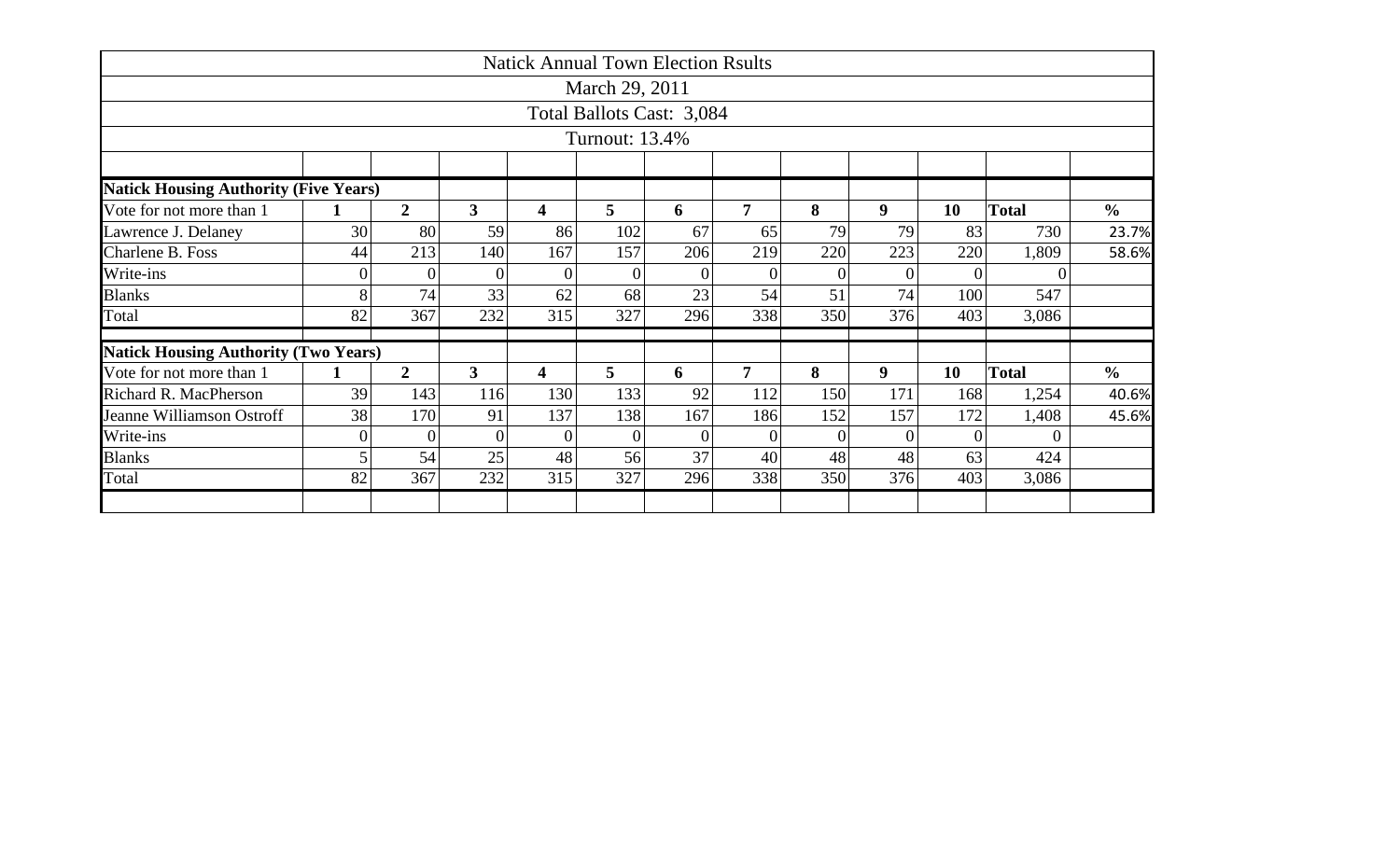|                                              |                |                |                         | <b>Natick Annual Town Election Rsults</b> |                |                           |                |          |                  |                |                |               |
|----------------------------------------------|----------------|----------------|-------------------------|-------------------------------------------|----------------|---------------------------|----------------|----------|------------------|----------------|----------------|---------------|
|                                              |                |                |                         |                                           | March 29, 2011 |                           |                |          |                  |                |                |               |
|                                              |                |                |                         |                                           |                | Total Ballots Cast: 3,084 |                |          |                  |                |                |               |
|                                              |                |                |                         |                                           | Turnout: 13.4% |                           |                |          |                  |                |                |               |
|                                              |                |                |                         |                                           |                |                           |                |          |                  |                |                |               |
| <b>Natick Housing Authority (Five Years)</b> |                |                |                         |                                           |                |                           |                |          |                  |                |                |               |
| Vote for not more than 1                     | $\mathbf 1$    | $\overline{2}$ | $\mathbf{3}$            | 4                                         | 5              | 6                         | $\overline{7}$ | 8        | 9                | 10             | <b>Total</b>   | $\frac{0}{0}$ |
| Lawrence J. Delaney                          | 30             | 80             | 59                      | 86                                        | 102            | 67                        | 65             | 79       | 79               | 83             | 730            | 23.7%         |
| Charlene B. Foss                             | 44             | 213            | 140                     | 167                                       | 157            | 206                       | 219            | 220      | 223              | 220            | 1,809          | 58.6%         |
| Write-ins                                    | $\overline{0}$ | $\overline{0}$ | $\overline{0}$          | $\overline{0}$                            | $\theta$       | $\theta$                  | $\Omega$       | $\Omega$ | $\theta$         | $\overline{0}$ | $\overline{0}$ |               |
| <b>Blanks</b>                                | 8              | 74             | 33                      | 62                                        | 68             | 23                        | 54             | 51       | 74               | 100            | 547            |               |
| Total                                        | 82             | 367            | 232                     | 315                                       | 327            | 296                       | 338            | 350      | 376              | 403            | 3,086          |               |
| <b>Natick Housing Authority (Two Years)</b>  |                |                |                         |                                           |                |                           |                |          |                  |                |                |               |
| Vote for not more than 1                     | 1              | $\overline{2}$ | $\overline{\mathbf{3}}$ | $\overline{\mathbf{4}}$                   | 5              | 6                         | $\overline{7}$ | 8        | $\boldsymbol{9}$ | 10             | <b>Total</b>   | $\frac{0}{0}$ |
| Richard R. MacPherson                        | 39             | 143            | 116                     | 130                                       | 133            | 92                        | 112            | 150      | 171              | 168            | 1,254          | 40.6%         |
| Jeanne Williamson Ostroff                    | 38             | 170            | 91                      | 137                                       | 138            | 167                       | 186            | 152      | 157              | 172            | 1,408          | 45.6%         |
| Write-ins                                    | $\overline{0}$ | $\theta$       | $\overline{0}$          | $\overline{0}$                            | $\theta$       | $\Omega$                  | $\Omega$       | $\Omega$ | $\Omega$         | $\overline{0}$ | $\Omega$       |               |
| <b>Blanks</b>                                | 5              | 54             | 25                      | 48                                        | 56             | 37                        | 40             | 48       | 48               | 63             | 424            |               |
| Total                                        | 82             | 367            | 232                     | 315                                       | 327            | 296                       | 338            | 350      | 376              | 403            | 3,086          |               |
|                                              |                |                |                         |                                           |                |                           |                |          |                  |                |                |               |